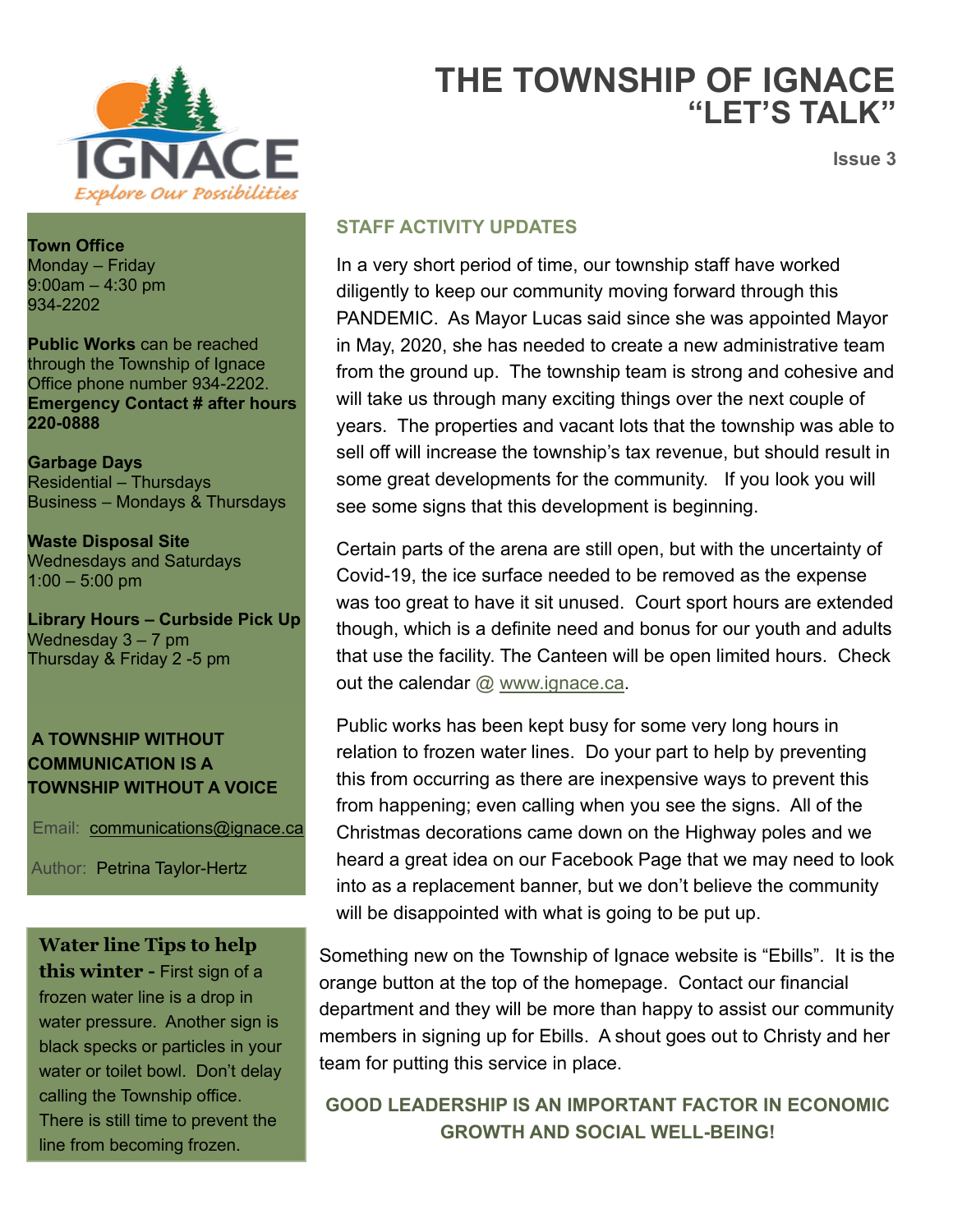

**Town Office**  Monday – Friday 9:00am – 4:30 pm 934-2202

**Public Works** can be reached through the Township of Ignace Office phone number 934-2202. **Emergency Contact # after hours 220-0888**

**Garbage Days** Residential – Thursdays Business – Mondays & Thursdays

**Waste Disposal Site** Wednesdays and Saturdays 1:00 – 5:00 pm

**Library Hours – Curbside Pick Up** Wednesday 3 – 7 pm Thursday & Friday 2 -5 pm

### **A TOWNSHIP WITHOUT COMMUNICATION IS A TOWNSHIP WITHOUT A VOICE**

Email: [communications@ignace.ca](mailto:communications@ignace.ca)

Author: Petrina Taylor-Hertz

## **Water line Tips to help**

**this winter -** First sign of a frozen water line is a drop in water pressure. Another sign is black specks or particles in your water or toilet bowl. Don't delay calling the Township office. There is still time to prevent the line from becoming frozen.

# **THE TOWNSHIP OF IGNACE "LET'S TALK"**

**Issue 3**

### **STAFF ACTIVITY UPDATES**

In a very short period of time, our township staff have worked diligently to keep our community moving forward through this PANDEMIC. As Mayor Lucas said since she was appointed Mayor in May, 2020, she has needed to create a new administrative team from the ground up. The township team is strong and cohesive and will take us through many exciting things over the next couple of years. The properties and vacant lots that the township was able to sell off will increase the township's tax revenue, but should result in some great developments for the community. If you look you will see some signs that this development is beginning.

Certain parts of the arena are still open, but with the uncertainty of Covid-19, the ice surface needed to be removed as the expense was too great to have it sit unused. Court sport hours are extended though, which is a definite need and bonus for our youth and adults that use the facility. The Canteen will be open limited hours. Check out the calendar @ [www.ignace.ca.](http://www.ignace.ca/)

Public works has been kept busy for some very long hours in relation to frozen water lines. Do your part to help by preventing this from occurring as there are inexpensive ways to prevent this from happening; even calling when you see the signs. All of the Christmas decorations came down on the Highway poles and we heard a great idea on our Facebook Page that we may need to look into as a replacement banner, but we don't believe the community will be disappointed with what is going to be put up.

Something new on the Township of Ignace website is "Ebills". It is the orange button at the top of the homepage. Contact our financial department and they will be more than happy to assist our community members in signing up for Ebills. A shout goes out to Christy and her team for putting this service in place.

**GOOD LEADERSHIP IS AN IMPORTANT FACTOR IN ECONOMIC GROWTH AND SOCIAL WELL-BEING!**